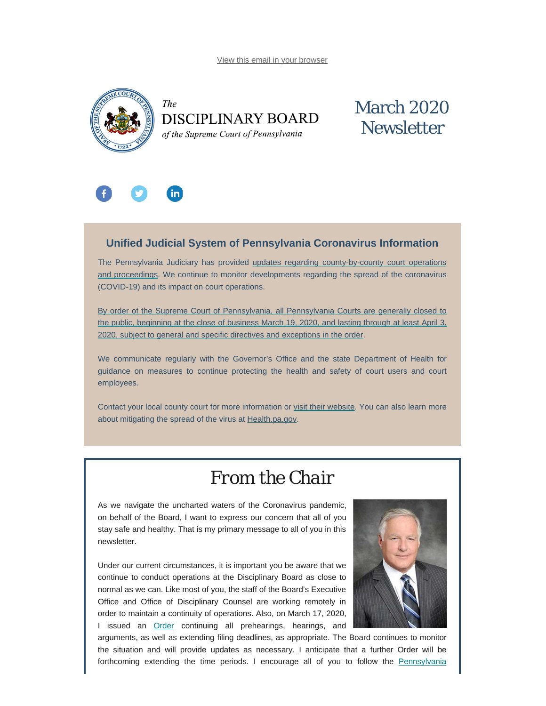[View this email in your browser](#page-0-0)

<span id="page-0-0"></span>



## March 2020 **Newsletter**



#### **Unified Judicial System of Pennsylvania Coronavirus Information**

The Pennsylvania Judiciary has provided [updates regarding county-by-county court operations](http://www.pacourts.us/ujs-coronavirus-information) [and proceedings](http://www.pacourts.us/ujs-coronavirus-information). We continue to monitor developments regarding the spread of the coronavirus (COVID-19) and its impact on court operations.

[By order of the Supreme Court of Pennsylvania, all Pennsylvania Courts are generally closed to](http://www.pacourts.us/assets/files/page-1305/file-8634.pdf) the public, beginning [at the close of business March 19, 2020, and lasting through at least April 3,](http://www.pacourts.us/assets/files/page-1305/file-8634.pdf) [2020, subject to general and specific directives and exceptions in the order](http://www.pacourts.us/assets/files/page-1305/file-8634.pdf).

We communicate regularly with the Governor's Office and the state Department of Health for guidance on measures to continue protecting the health and safety of court users and court employees.

Contact your local county court for more information or [visit their website](http://www.pacourts.us/courts/courts-of-common-pleas/). You can also learn more about mitigating the spread of the virus at [Health.pa.gov.](https://www.health.pa.gov/topics/disease/Pages/Coronavirus.aspx)

### *From the Chair*

As we navigate the uncharted waters of the Coronavirus pandemic, on behalf of the Board, I want to express our concern that all of you stay safe and healthy. That is my primary message to all of you in this newsletter.

Under our current circumstances, it is important you be aware that we continue to conduct operations at the Disciplinary Board as close to normal as we can. Like most of you, the staff of the Board's Executive Office and Office of Disciplinary Counsel are working remotely in order to maintain a continuity of operations. Also, on March 17, 2020, I issued an **[Order](https://www.padisciplinaryboard.org/Storage/media/pdfs/20200318/121236-boardorder-covid-19.pdf)** continuing all prehearings, hearings, and



arguments, as well as extending filing deadlines, as appropriate. The Board continues to monitor the situation and will provide updates as necessary. I anticipate that a further Order will be forthcoming extending the time periods. I encourage all of you to follow the [Pennsylvania](https://www.health.pa.gov/topics/disease/coronavirus/Pages/Coronavirus.aspx)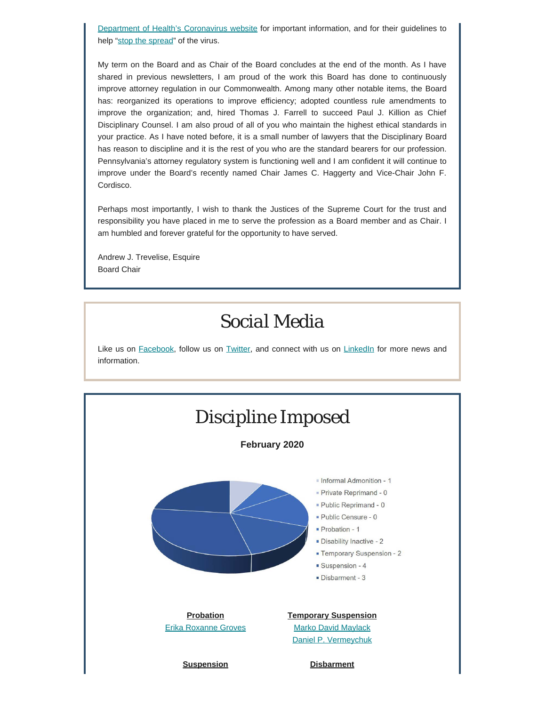[Department of Health's Coronavirus website](https://www.health.pa.gov/topics/disease/coronavirus/Pages/Coronavirus.aspx) for important information, and for their guidelines to help ["stop the spread](https://www.health.pa.gov/topics/disease/coronavirus/Pages/Stop-the-Spread.aspx)" of the virus.

My term on the Board and as Chair of the Board concludes at the end of the month. As I have shared in previous newsletters, I am proud of the work this Board has done to continuously improve attorney regulation in our Commonwealth. Among many other notable items, the Board has: reorganized its operations to improve efficiency; adopted countless rule amendments to improve the organization; and, hired Thomas J. Farrell to succeed Paul J. Killion as Chief Disciplinary Counsel. I am also proud of all of you who maintain the highest ethical standards in your practice. As I have noted before, it is a small number of lawyers that the Disciplinary Board has reason to discipline and it is the rest of you who are the standard bearers for our profession. Pennsylvania's attorney regulatory system is functioning well and I am confident it will continue to improve under the Board's recently named Chair James C. Haggerty and Vice-Chair John F. Cordisco.

Perhaps most importantly, I wish to thank the Justices of the Supreme Court for the trust and responsibility you have placed in me to serve the profession as a Board member and as Chair. I am humbled and forever grateful for the opportunity to have served.

Andrew J. Trevelise, Esquire Board Chair

### *Social Media*

Like us on [Facebook](https://www.facebook.com/DBoardPA), follow us on [Twitter,](https://twitter.com/DBoardPa) and connect with us on [LinkedIn](https://www.linkedin.com/company/pennsylvania-disciplinary-board/) for more news and information.

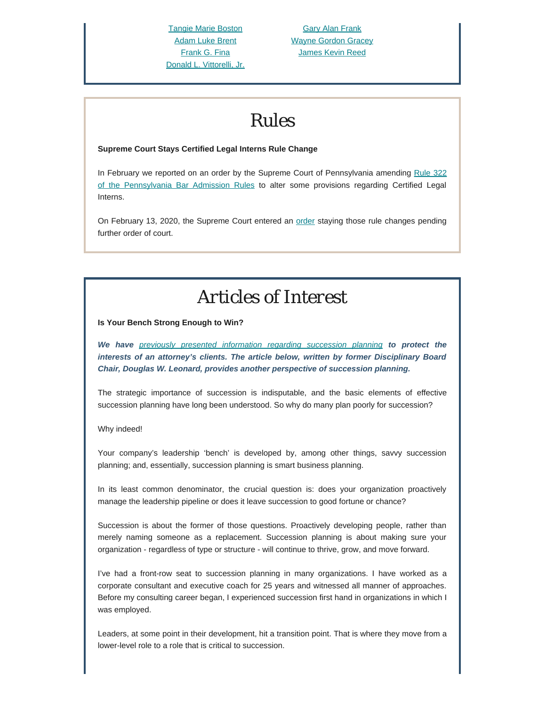[Tangie Marie Boston](https://www.padisciplinaryboard.org/for-the-public/find-attorney/attorney-detail/86375) [Adam Luke Brent](https://www.padisciplinaryboard.org/for-the-public/find-attorney/attorney-detail/90834) [Frank G. Fina](https://www.padisciplinaryboard.org/for-the-public/find-attorney/attorney-detail/71711) [Donald L. Vittorelli, Jr.](https://www.padisciplinaryboard.org/for-the-public/find-attorney/attorney-detail/68761)

[Gary Alan Frank](https://www.padisciplinaryboard.org/for-the-public/find-attorney/attorney-detail/76290) [Wayne Gordon Gracey](https://www.padisciplinaryboard.org/for-the-public/find-attorney/attorney-detail/61103) [James Kevin Reed](https://www.padisciplinaryboard.org/for-the-public/find-attorney/attorney-detail/50075)

#### *Rules*

#### **Supreme Court Stays Certified Legal Interns Rule Change**

In February we reported on an order by the Supreme Court of Pennsylvania amending [Rule 322](http://www.pacodeandbulletin.gov/Display/pacode?file=/secure/pacode/data/204/chapter71/s322.html&d=reduce) [of the Pennsylvania Bar Admission Rules](http://www.pacodeandbulletin.gov/Display/pacode?file=/secure/pacode/data/204/chapter71/s322.html&d=reduce) to alter some provisions regarding Certified Legal Interns.

On February 13, 2020, the Supreme Court entered an [order](http://www.pacourts.us/assets/opinions/Supreme/out/Order%20-%2010433665794889979.pdf?cb=1) staying those rule changes pending further order of court.

# *Articles of Interest*

**Is Your Bench Strong Enough to Win?**

*We have [previously presented information regarding succession planning](https://www.padisciplinaryboard.org/news-media/news-article/68/succession-planning---is-it-mandatory-for-lawyers-in-pennsylvania) to protect the interests of an attorney's clients. The article below, written by former Disciplinary Board Chair, Douglas W. Leonard, provides another perspective of succession planning.*

The strategic importance of succession is indisputable, and the basic elements of effective succession planning have long been understood. So why do many plan poorly for succession?

Why indeed!

Your company's leadership 'bench' is developed by, among other things, savvy succession planning; and, essentially, succession planning is smart business planning.

In its least common denominator, the crucial question is: does your organization proactively manage the leadership pipeline or does it leave succession to good fortune or chance?

Succession is about the former of those questions. Proactively developing people, rather than merely naming someone as a replacement. Succession planning is about making sure your organization - regardless of type or structure - will continue to thrive, grow, and move forward.

I've had a front-row seat to succession planning in many organizations. I have worked as a corporate consultant and executive coach for 25 years and witnessed all manner of approaches. Before my consulting career began, I experienced succession first hand in organizations in which I was employed.

Leaders, at some point in their development, hit a transition point. That is where they move from a lower-level role to a role that is critical to succession.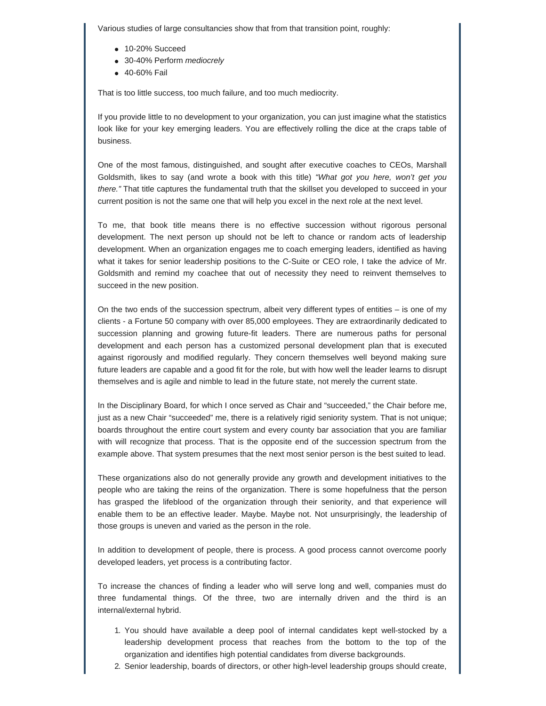Various studies of large consultancies show that from that transition point, roughly:

- 10-20% Succeed
- 30-40% Perform *mediocrely*
- 40-60% Fail

That is too little success, too much failure, and too much mediocrity.

If you provide little to no development to your organization, you can just imagine what the statistics look like for your key emerging leaders. You are effectively rolling the dice at the craps table of business.

One of the most famous, distinguished, and sought after executive coaches to CEOs, Marshall Goldsmith, likes to say (and wrote a book with this title) *"What got you here, won't get you there."* That title captures the fundamental truth that the skillset you developed to succeed in your current position is not the same one that will help you excel in the next role at the next level.

To me, that book title means there is no effective succession without rigorous personal development. The next person up should not be left to chance or random acts of leadership development. When an organization engages me to coach emerging leaders, identified as having what it takes for senior leadership positions to the C-Suite or CEO role, I take the advice of Mr. Goldsmith and remind my coachee that out of necessity they need to reinvent themselves to succeed in the new position.

On the two ends of the succession spectrum, albeit very different types of entities – is one of my clients - a Fortune 50 company with over 85,000 employees. They are extraordinarily dedicated to succession planning and growing future-fit leaders. There are numerous paths for personal development and each person has a customized personal development plan that is executed against rigorously and modified regularly. They concern themselves well beyond making sure future leaders are capable and a good fit for the role, but with how well the leader learns to disrupt themselves and is agile and nimble to lead in the future state, not merely the current state.

In the Disciplinary Board, for which I once served as Chair and "succeeded," the Chair before me, just as a new Chair "succeeded" me, there is a relatively rigid seniority system. That is not unique; boards throughout the entire court system and every county bar association that you are familiar with will recognize that process. That is the opposite end of the succession spectrum from the example above. That system presumes that the next most senior person is the best suited to lead.

These organizations also do not generally provide any growth and development initiatives to the people who are taking the reins of the organization. There is some hopefulness that the person has grasped the lifeblood of the organization through their seniority, and that experience will enable them to be an effective leader. Maybe. Maybe not. Not unsurprisingly, the leadership of those groups is uneven and varied as the person in the role.

In addition to development of people, there is process. A good process cannot overcome poorly developed leaders, yet process is a contributing factor.

To increase the chances of finding a leader who will serve long and well, companies must do three fundamental things. Of the three, two are internally driven and the third is an internal/external hybrid.

- 1. You should have available a deep pool of internal candidates kept well-stocked by a leadership development process that reaches from the bottom to the top of the organization and identifies high potential candidates from diverse backgrounds.
- 2. Senior leadership, boards of directors, or other high-level leadership groups should create,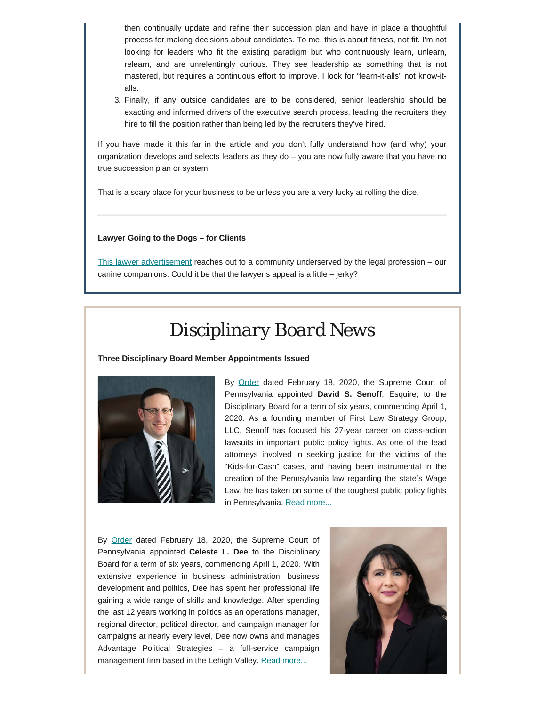then continually update and refine their succession plan and have in place a thoughtful process for making decisions about candidates. To me, this is about fitness, not fit. I'm not looking for leaders who fit the existing paradigm but who continuously learn, unlearn, relearn, and are unrelentingly curious. They see leadership as something that is not mastered, but requires a continuous effort to improve. I look for "learn-it-alls" not know-italls.

3. Finally, if any outside candidates are to be considered, senior leadership should be exacting and informed drivers of the executive search process, leading the recruiters they hire to fill the position rather than being led by the recruiters they've hired.

If you have made it this far in the article and you don't fully understand how (and why) your organization develops and selects leaders as they do – you are now fully aware that you have no true succession plan or system.

That is a scary place for your business to be unless you are a very lucky at rolling the dice.

#### **Lawyer Going to the Dogs – for Clients**

[This lawyer advertisement](https://www.youtube.com/watch?v=G4-_kz5wtlU) reaches out to a community underserved by the legal profession – our canine companions. Could it be that the lawyer's appeal is a little – jerky?

### *Disciplinary Board News*

**Three Disciplinary Board Member Appointments Issued**



By [Order](http://www.pacourts.us/assets/opinions/Supreme/out/Order%20Entered%20-%2010433949195144273.pdf?cb=1) dated February 18, 2020, the Supreme Court of Pennsylvania appointed **David S. Senoff**, Esquire, to the Disciplinary Board for a term of six years, commencing April 1, 2020. As a founding member of First Law Strategy Group, LLC, Senoff has focused his 27-year career on class-action lawsuits in important public policy fights. As one of the lead attorneys involved in seeking justice for the victims of the "Kids-for-Cash" cases, and having been instrumental in the creation of the Pennsylvania law regarding the state's Wage Law, he has taken on some of the toughest public policy fights in Pennsylvania. [Read more...](https://www.padisciplinaryboard.org/news-media/news-article/1233/philadelphia-attorney-david-s-senoff-appointed-as-member-of-pa-disciplinary-board)

By [Order](http://www.pacourts.us/assets/opinions/Supreme/out/Order%20Entered%20-%2010433949195144273.pdf?cb=1) dated February 18, 2020, the Supreme Court of Pennsylvania appointed **Celeste L. Dee** to the Disciplinary Board for a term of six years, commencing April 1, 2020. With extensive experience in business administration, business development and politics, Dee has spent her professional life gaining a wide range of skills and knowledge. After spending the last 12 years working in politics as an operations manager, regional director, political director, and campaign manager for campaigns at nearly every level, Dee now owns and manages Advantage Political Strategies – a full-service campaign management firm based in the Lehigh Valley. [Read more...](https://www.padisciplinaryboard.org/news-media/news-article/1231/celeste-l-dee-appointed-as-member-of-pa-disciplinary-board)

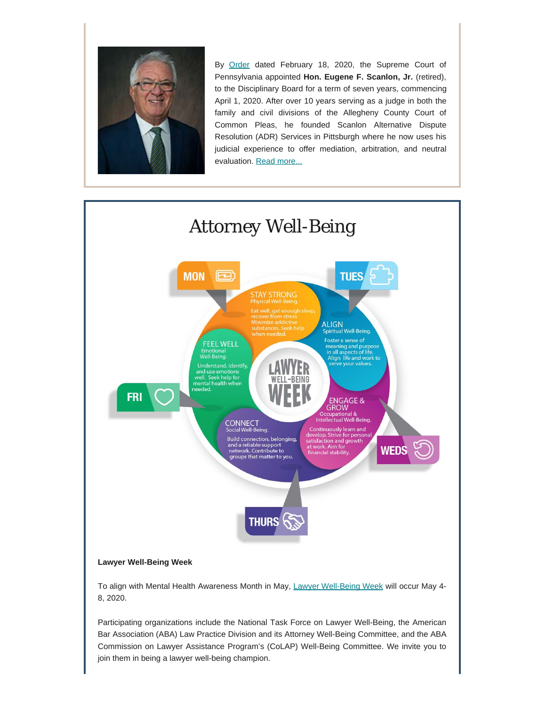

By [Order](http://www.pacourts.us/assets/opinions/Supreme/out/Order%20Entered%20-%2010433956095144293.pdf?cb=1) dated February 18, 2020, the Supreme Court of Pennsylvania appointed **Hon. Eugene F. Scanlon, Jr.** (retired), to the Disciplinary Board for a term of seven years, commencing April 1, 2020. After over 10 years serving as a judge in both the family and civil divisions of the Allegheny County Court of Common Pleas, he founded Scanlon Alternative Dispute Resolution (ADR) Services in Pittsburgh where he now uses his judicial experience to offer mediation, arbitration, and neutral evaluation. [Read more...](https://www.padisciplinaryboard.org/news-media/news-article/1232/former-allegheny-county-judge-eugene-f-scanlon-jr-appointed-as-member-of-pa-disciplinary-board)



Participating organizations include the National Task Force on Lawyer Well-Being, the American Bar Association (ABA) Law Practice Division and its Attorney Well-Being Committee, and the ABA Commission on Lawyer Assistance Program's (CoLAP) Well-Being Committee. We invite you to join them in being a lawyer well-being champion.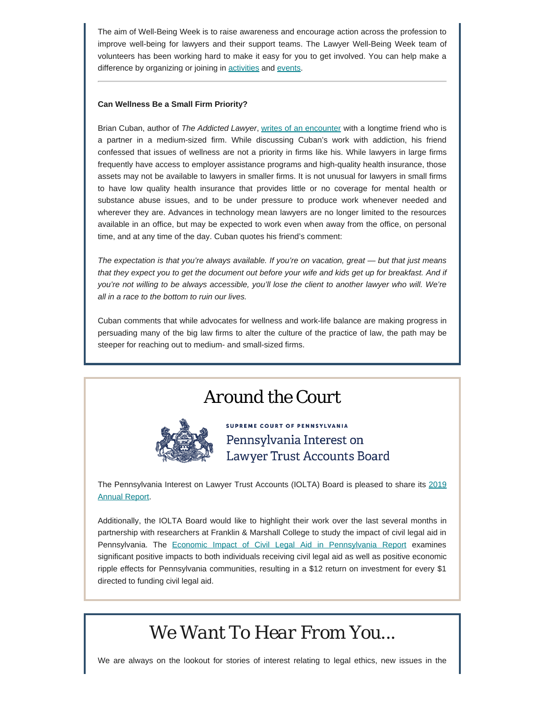The aim of Well-Being Week is to raise awareness and encourage action across the profession to improve well-being for lawyers and their support teams. The Lawyer Well-Being Week team of volunteers has been working hard to make it easy for you to get involved. You can help make a difference by organizing or joining in **[activities](https://lawyerwellbeing.net/well-being-week-activity-ideas/)** and [events](https://lawyerwellbeing.net/lawyer-well-being-champions/).

#### **Can Wellness Be a Small Firm Priority?**

Brian Cuban, author of *The Addicted Lawyer*, [writes of an encounter](https://abovethelaw.com/2019/11/lawyer-wellness-the-elephant-in-the-room/?fbclid=IwAR0TZSTGmzrCJBWzrqHwKTv8ykQFtMp3vBzFVoBc_gwNnpyHdatc0zGOXfw&rf=1) with a longtime friend who is a partner in a medium-sized firm. While discussing Cuban's work with addiction, his friend confessed that issues of wellness are not a priority in firms like his. While lawyers in large firms frequently have access to employer assistance programs and high-quality health insurance, those assets may not be available to lawyers in smaller firms. It is not unusual for lawyers in small firms to have low quality health insurance that provides little or no coverage for mental health or substance abuse issues, and to be under pressure to produce work whenever needed and wherever they are. Advances in technology mean lawyers are no longer limited to the resources available in an office, but may be expected to work even when away from the office, on personal time, and at any time of the day. Cuban quotes his friend's comment:

*The expectation is that you're always available. If you're on vacation, great — but that just means that they expect you to get the document out before your wife and kids get up for breakfast. And if you're not willing to be always accessible, you'll lose the client to another lawyer who will. We're all in a race to the bottom to ruin our lives.*

Cuban comments that while advocates for wellness and work-life balance are making progress in persuading many of the big law firms to alter the culture of the practice of law, the path may be steeper for reaching out to medium- and small-sized firms.

## *Around the Court*



**SUPREME COURT OF PENNSYLVANIA** Pennsylvania Interest on Lawyer Trust Accounts Board

The Pennsylvania Interest on Lawyer Trust Accounts (IOLTA) Board is pleased to share its [2019](https://www.paiolta.org/wp-content/uploads/2020/02/Pennsylvania-IOLTA-2019-Annual-Report.pdf) [Annual Report](https://www.paiolta.org/wp-content/uploads/2020/02/Pennsylvania-IOLTA-2019-Annual-Report.pdf).

Additionally, the IOLTA Board would like to highlight their work over the last several months in partnership with researchers at Franklin & Marshall College to study the impact of civil legal aid in Pennsylvania. The [Economic Impact of Civil Legal Aid in Pennsylvania Report](https://www.paiolta.org/wp-content/uploads/2020/02/Economic-Impact-of-Civil-Legal-Aid-in-Pennsylvania_2020.pdf) examines significant positive impacts to both individuals receiving civil legal aid as well as positive economic ripple effects for Pennsylvania communities, resulting in a \$12 return on investment for every \$1 directed to funding civil legal aid.

# *We Want To Hear From You...*

We are always on the lookout for stories of interest relating to legal ethics, new issues in the